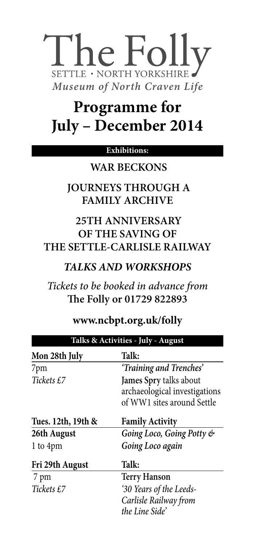# he Folly SETTLE · NORTH YORKSHIRE *Museum of North Craven Life*

## **Programme for July – December 2014**

#### **Exhibitions:**

#### **WAR BECKONS**

 **JOURNEYS THROUGH A FAMILY ARCHIVE**

#### **25TH ANNIVERSARY OF THE SAVING OF THE SETTLE-CARLISLE RAILWAY**

#### *TALKS AND WORKSHOPS*

*Tickets to be booked in advance from* **The Folly or 01729 822893**

#### **www.ncbpt.org.uk/folly**

| Talks & Activities - July - August |                               |
|------------------------------------|-------------------------------|
| Mon 28th July                      | Talk:                         |
| 7pm                                | 'Training and Trenches'       |
| Tickets £7                         | James Spry talks about        |
|                                    | archaeological investigations |
|                                    | of WW1 sites around Settle    |
| Tues. 12th, 19th &                 | <b>Family Activity</b>        |
| 26th August                        | Going Loco, Going Potty &     |
| 1 to 4pm                           | Going Loco again              |
| Fri 29th August                    | Talk:                         |
| 7 pm                               | <b>Terry Hanson</b>           |
| Tickets £7                         | '30 Years of the Leeds-       |
|                                    | Carlisle Railway from         |
|                                    | the Line Side'                |